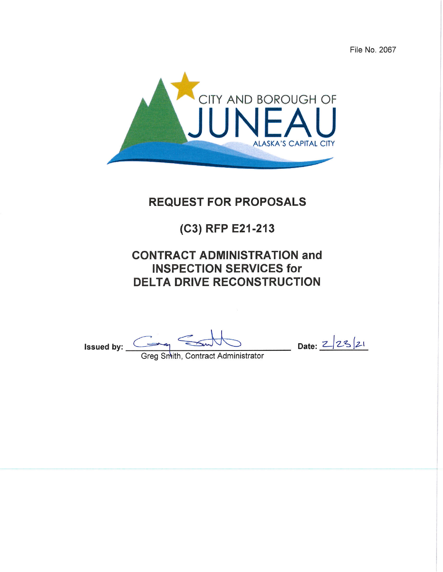File No. 2067



# **REQUEST FOR PROPOSALS**

# (C3) RFP E21-213

# **CONTRACT ADMINISTRATION and INSPECTION SERVICES for DELTA DRIVE RECONSTRUCTION**

Issued by:  $\overline{\phantom{a}}$ 

 $\frac{2}{2^{5}}$  Date:  $\frac{2}{2^{5}}$ 

Greg Smith, Contract Administrator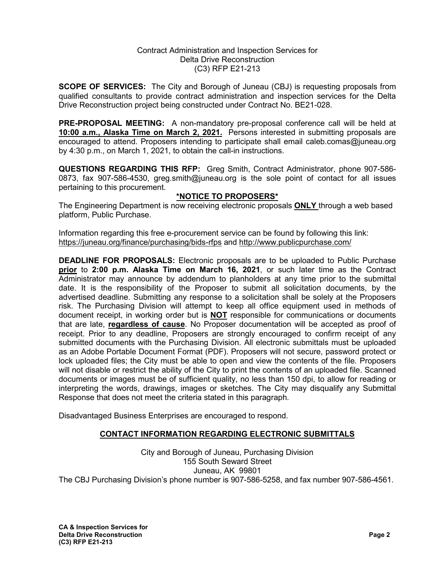#### Contract Administration and Inspection Services for Delta Drive Reconstruction (C3) RFP E21-213

**SCOPE OF SERVICES:** The City and Borough of Juneau (CBJ) is requesting proposals from qualified consultants to provide contract administration and inspection services for the Delta Drive Reconstruction project being constructed under Contract No. BE21-028.

**PRE-PROPOSAL MEETING:** A non-mandatory pre-proposal conference call will be held at **10:00 a.m., Alaska Time on March 2, 2021.** Persons interested in submitting proposals are encouraged to attend. Proposers intending to participate shall email caleb.comas@juneau.org by 4:30 p.m., on March 1, 2021, to obtain the call-in instructions.

**QUESTIONS REGARDING THIS RFP:** Greg Smith, Contract Administrator, phone 907-586- 0873, fax 907-586-4530, greg.smith@juneau.org is the sole point of contact for all issues pertaining to this procurement.

# **\*NOTICE TO PROPOSERS\***

The Engineering Department is now receiving electronic proposals **ONLY** through a web based platform, Public Purchase.

Information regarding this free e-procurement service can be found by following this link: <https://juneau.org/finance/purchasing/bids-rfps> and<http://www.publicpurchase.com/>

**DEADLINE FOR PROPOSALS:** Electronic proposals are to be uploaded to Public Purchase **prior** to **2:00 p.m. Alaska Time on March 16, 2021**, or such later time as the Contract Administrator may announce by addendum to planholders at any time prior to the submittal date. It is the responsibility of the Proposer to submit all solicitation documents, by the advertised deadline. Submitting any response to a solicitation shall be solely at the Proposers risk. The Purchasing Division will attempt to keep all office equipment used in methods of document receipt, in working order but is **NOT** responsible for communications or documents that are late, **regardless of cause**. No Proposer documentation will be accepted as proof of receipt. Prior to any deadline, Proposers are strongly encouraged to confirm receipt of any submitted documents with the Purchasing Division. All electronic submittals must be uploaded as an Adobe Portable Document Format (PDF). Proposers will not secure, password protect or lock uploaded files; the City must be able to open and view the contents of the file. Proposers will not disable or restrict the ability of the City to print the contents of an uploaded file. Scanned documents or images must be of sufficient quality, no less than 150 dpi, to allow for reading or interpreting the words, drawings, images or sketches. The City may disqualify any Submittal Response that does not meet the criteria stated in this paragraph.

Disadvantaged Business Enterprises are encouraged to respond.

# **CONTACT INFORMATION REGARDING ELECTRONIC SUBMITTALS**

City and Borough of Juneau, Purchasing Division 155 South Seward Street Juneau, AK 99801 The CBJ Purchasing Division's phone number is 907-586-5258, and fax number 907-586-4561.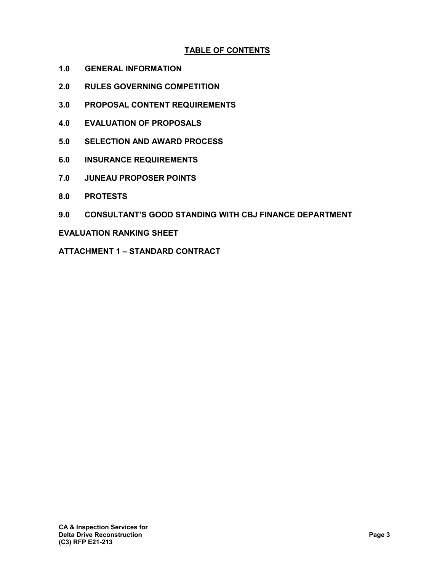# **TABLE OF CONTENTS**

- **1.0 GENERAL INFORMATION**
- **2.0 RULES GOVERNING COMPETITION**
- **3.0 PROPOSAL CONTENT REQUIREMENTS**
- **4.0 EVALUATION OF PROPOSALS**
- **5.0 SELECTION AND AWARD PROCESS**
- **6.0 INSURANCE REQUIREMENTS**
- **7.0 JUNEAU PROPOSER POINTS**
- **8.0 PROTESTS**
- **9.0 CONSULTANT'S GOOD STANDING WITH CBJ FINANCE DEPARTMENT**

#### **EVALUATION RANKING SHEET**

**ATTACHMENT 1 – STANDARD CONTRACT**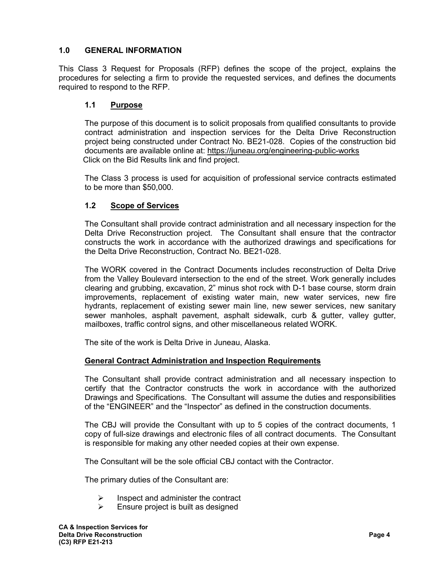# **1.0 GENERAL INFORMATION**

This Class 3 Request for Proposals (RFP) defines the scope of the project, explains the procedures for selecting a firm to provide the requested services, and defines the documents required to respond to the RFP.

# **1.1 Purpose**

The purpose of this document is to solicit proposals from qualified consultants to provide contract administration and inspection services for the Delta Drive Reconstruction project being constructed under Contract No. BE21-028. Copies of the construction bid documents are available online at: <https://juneau.org/engineering-public-works> Click on the Bid Results link and find project.

The Class 3 process is used for acquisition of professional service contracts estimated to be more than \$50,000.

# **1.2 Scope of Services**

The Consultant shall provide contract administration and all necessary inspection for the Delta Drive Reconstruction project. The Consultant shall ensure that the contractor constructs the work in accordance with the authorized drawings and specifications for the Delta Drive Reconstruction, Contract No. BE21-028.

The WORK covered in the Contract Documents includes reconstruction of Delta Drive from the Valley Boulevard intersection to the end of the street. Work generally includes clearing and grubbing, excavation, 2" minus shot rock with D-1 base course, storm drain improvements, replacement of existing water main, new water services, new fire hydrants, replacement of existing sewer main line, new sewer services, new sanitary sewer manholes, asphalt pavement, asphalt sidewalk, curb & gutter, valley gutter, mailboxes, traffic control signs, and other miscellaneous related WORK.

The site of the work is Delta Drive in Juneau, Alaska.

# **General Contract Administration and Inspection Requirements**

The Consultant shall provide contract administration and all necessary inspection to certify that the Contractor constructs the work in accordance with the authorized Drawings and Specifications. The Consultant will assume the duties and responsibilities of the "ENGINEER" and the "Inspector" as defined in the construction documents.

The CBJ will provide the Consultant with up to 5 copies of the contract documents, 1 copy of full-size drawings and electronic files of all contract documents. The Consultant is responsible for making any other needed copies at their own expense.

The Consultant will be the sole official CBJ contact with the Contractor.

The primary duties of the Consultant are:

- Inspect and administer the contract
- $\triangleright$  Ensure project is built as designed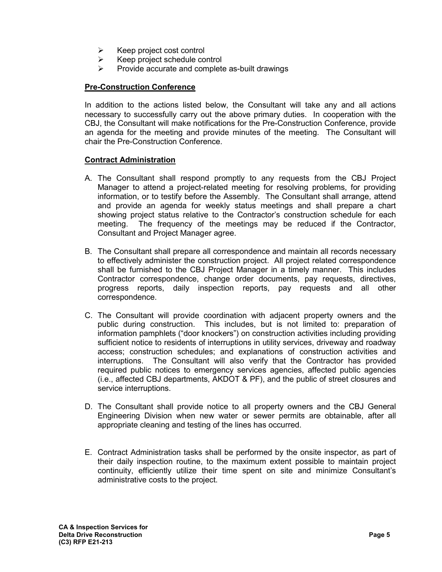- $\triangleright$  Keep project cost control
- $\triangleright$  Keep project schedule control
- $\triangleright$  Provide accurate and complete as-built drawings

# **Pre-Construction Conference**

In addition to the actions listed below, the Consultant will take any and all actions necessary to successfully carry out the above primary duties. In cooperation with the CBJ, the Consultant will make notifications for the Pre-Construction Conference, provide an agenda for the meeting and provide minutes of the meeting. The Consultant will chair the Pre-Construction Conference.

# **Contract Administration**

- A. The Consultant shall respond promptly to any requests from the CBJ Project Manager to attend a project-related meeting for resolving problems, for providing information, or to testify before the Assembly. The Consultant shall arrange, attend and provide an agenda for weekly status meetings and shall prepare a chart showing project status relative to the Contractor's construction schedule for each meeting. The frequency of the meetings may be reduced if the Contractor, Consultant and Project Manager agree.
- B. The Consultant shall prepare all correspondence and maintain all records necessary to effectively administer the construction project. All project related correspondence shall be furnished to the CBJ Project Manager in a timely manner. This includes Contractor correspondence, change order documents, pay requests, directives, progress reports, daily inspection reports, pay requests and all other correspondence.
- C. The Consultant will provide coordination with adjacent property owners and the public during construction. This includes, but is not limited to: preparation of information pamphlets ("door knockers") on construction activities including providing sufficient notice to residents of interruptions in utility services, driveway and roadway access; construction schedules; and explanations of construction activities and interruptions. The Consultant will also verify that the Contractor has provided required public notices to emergency services agencies, affected public agencies (i.e., affected CBJ departments, AKDOT & PF), and the public of street closures and service interruptions.
- D. The Consultant shall provide notice to all property owners and the CBJ General Engineering Division when new water or sewer permits are obtainable, after all appropriate cleaning and testing of the lines has occurred.
- E. Contract Administration tasks shall be performed by the onsite inspector, as part of their daily inspection routine, to the maximum extent possible to maintain project continuity, efficiently utilize their time spent on site and minimize Consultant's administrative costs to the project.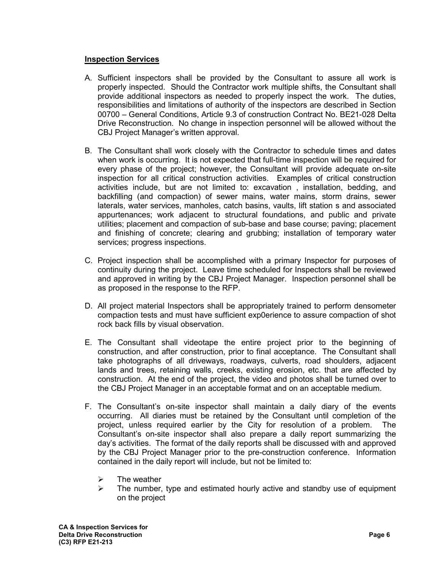# **Inspection Services**

- A. Sufficient inspectors shall be provided by the Consultant to assure all work is properly inspected. Should the Contractor work multiple shifts, the Consultant shall provide additional inspectors as needed to properly inspect the work. The duties, responsibilities and limitations of authority of the inspectors are described in Section 00700 – General Conditions, Article 9.3 of construction Contract No. BE21-028 Delta Drive Reconstruction. No change in inspection personnel will be allowed without the CBJ Project Manager's written approval.
- B. The Consultant shall work closely with the Contractor to schedule times and dates when work is occurring. It is not expected that full-time inspection will be required for every phase of the project; however, the Consultant will provide adequate on-site inspection for all critical construction activities. Examples of critical construction activities include, but are not limited to: excavation , installation, bedding, and backfilling (and compaction) of sewer mains, water mains, storm drains, sewer laterals, water services, manholes, catch basins, vaults, lift station s and associated appurtenances; work adjacent to structural foundations, and public and private utilities; placement and compaction of sub-base and base course; paving; placement and finishing of concrete; clearing and grubbing; installation of temporary water services; progress inspections.
- C. Project inspection shall be accomplished with a primary Inspector for purposes of continuity during the project. Leave time scheduled for Inspectors shall be reviewed and approved in writing by the CBJ Project Manager. Inspection personnel shall be as proposed in the response to the RFP.
- D. All project material Inspectors shall be appropriately trained to perform densometer compaction tests and must have sufficient exp0erience to assure compaction of shot rock back fills by visual observation.
- E. The Consultant shall videotape the entire project prior to the beginning of construction, and after construction, prior to final acceptance. The Consultant shall take photographs of all driveways, roadways, culverts, road shoulders, adjacent lands and trees, retaining walls, creeks, existing erosion, etc. that are affected by construction. At the end of the project, the video and photos shall be turned over to the CBJ Project Manager in an acceptable format and on an acceptable medium.
- F. The Consultant's on-site inspector shall maintain a daily diary of the events occurring. All diaries must be retained by the Consultant until completion of the project, unless required earlier by the City for resolution of a problem. The Consultant's on-site inspector shall also prepare a daily report summarizing the day's activities. The format of the daily reports shall be discussed with and approved by the CBJ Project Manager prior to the pre-construction conference. Information contained in the daily report will include, but not be limited to:
	- $\geq$  The weather<br> $\geq$  The number
	- The number, type and estimated hourly active and standby use of equipment on the project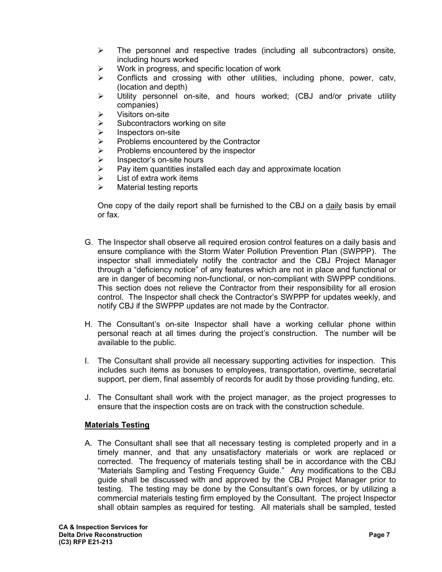- $\triangleright$  The personnel and respective trades (including all subcontractors) onsite, including hours worked
- $\triangleright$  Work in progress, and specific location of work
- $\triangleright$  Conflicts and crossing with other utilities, including phone, power, catv, (location and depth)
- $\triangleright$  Utility personnel on-site, and hours worked; (CBJ and/or private utility companies)
- $\triangleright$  Visitors on-site
- $\triangleright$  Subcontractors working on site
- $\triangleright$  Inspectors on-site
- $\triangleright$  Problems encountered by the Contractor<br> $\triangleright$  Problems encountered by the inspector
- $\triangleright$  Problems encountered by the inspector<br>  $\triangleright$  Inspector's on-site hours
- $\geq$  Inspector's on-site hours<br> $\geq$  Pav item quantities instal
- Pay item quantities installed each day and approximate location
- $\triangleright$  List of extra work items
- $\triangleright$  Material testing reports

One copy of the daily report shall be furnished to the CBJ on a daily basis by email or fax.

- G. The Inspector shall observe all required erosion control features on a daily basis and ensure compliance with the Storm Water Pollution Prevention Plan (SWPPP). The inspector shall immediately notify the contractor and the CBJ Project Manager through a "deficiency notice" of any features which are not in place and functional or are in danger of becoming non-functional, or non-compliant with SWPPP conditions. This section does not relieve the Contractor from their responsibility for all erosion control. The Inspector shall check the Contractor's SWPPP for updates weekly, and notify CBJ if the SWPPP updates are not made by the Contractor.
- H. The Consultant's on-site Inspector shall have a working cellular phone within personal reach at all times during the project's construction. The number will be available to the public.
- I. The Consultant shall provide all necessary supporting activities for inspection. This includes such items as bonuses to employees, transportation, overtime, secretarial support, per diem, final assembly of records for audit by those providing funding, etc.
- J. The Consultant shall work with the project manager, as the project progresses to ensure that the inspection costs are on track with the construction schedule.

# **Materials Testing**

A. The Consultant shall see that all necessary testing is completed properly and in a timely manner, and that any unsatisfactory materials or work are replaced or corrected. The frequency of materials testing shall be in accordance with the CBJ "Materials Sampling and Testing Frequency Guide." Any modifications to the CBJ guide shall be discussed with and approved by the CBJ Project Manager prior to testing. The testing may be done by the Consultant's own forces, or by utilizing a commercial materials testing firm employed by the Consultant. The project Inspector shall obtain samples as required for testing. All materials shall be sampled, tested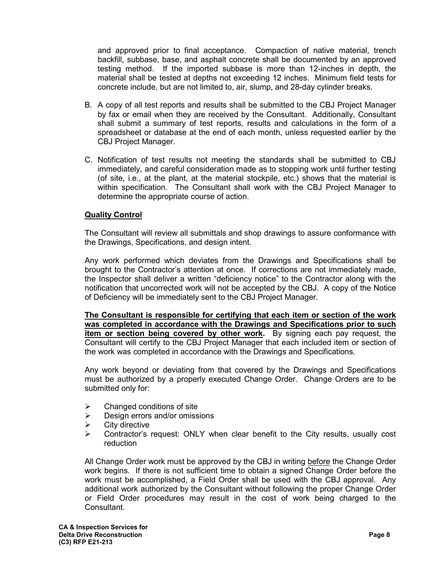and approved prior to final acceptance. Compaction of native material, trench backfill, subbase, base, and asphalt concrete shall be documented by an approved testing method. If the imported subbase is more than 12-inches in depth, the material shall be tested at depths not exceeding 12 inches. Minimum field tests for concrete include, but are not limited to, air, slump, and 28-day cylinder breaks.

- B. A copy of all test reports and results shall be submitted to the CBJ Project Manager by fax or email when they are received by the Consultant. Additionally, Consultant shall submit a summary of test reports, results and calculations in the form of a spreadsheet or database at the end of each month, unless requested earlier by the CBJ Project Manager.
- C. Notification of test results not meeting the standards shall be submitted to CBJ immediately, and careful consideration made as to stopping work until further testing (of site, i.e., at the plant, at the material stockpile, etc.) shows that the material is within specification. The Consultant shall work with the CBJ Project Manager to determine the appropriate course of action.

# **Quality Control**

The Consultant will review all submittals and shop drawings to assure conformance with the Drawings, Specifications, and design intent.

Any work performed which deviates from the Drawings and Specifications shall be brought to the Contractor's attention at once. If corrections are not immediately made, the Inspector shall deliver a written "deficiency notice" to the Contractor along with the notification that uncorrected work will not be accepted by the CBJ. A copy of the Notice of Deficiency will be immediately sent to the CBJ Project Manager.

**The Consultant is responsible for certifying that each item or section of the work was completed in accordance with the Drawings and Specifications prior to such item or section being covered by other work.** By signing each pay request, the Consultant will certify to the CBJ Project Manager that each included item or section of the work was completed in accordance with the Drawings and Specifications.

Any work beyond or deviating from that covered by the Drawings and Specifications must be authorized by a properly executed Change Order. Change Orders are to be submitted only for:

- $\triangleright$  Changed conditions of site
- $\triangleright$  Design errors and/or omissions
- $\triangleright$  City directive
- Contractor's request: ONLY when clear benefit to the City results, usually cost reduction

All Change Order work must be approved by the CBJ in writing before the Change Order work begins. If there is not sufficient time to obtain a signed Change Order before the work must be accomplished, a Field Order shall be used with the CBJ approval. Any additional work authorized by the Consultant without following the proper Change Order or Field Order procedures may result in the cost of work being charged to the Consultant.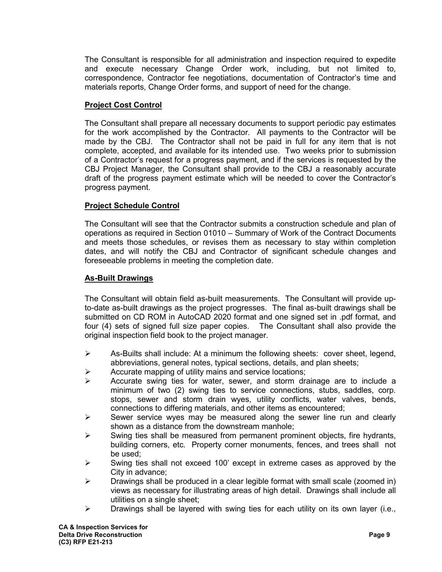The Consultant is responsible for all administration and inspection required to expedite and execute necessary Change Order work, including, but not limited to, correspondence, Contractor fee negotiations, documentation of Contractor's time and materials reports, Change Order forms, and support of need for the change.

# **Project Cost Control**

The Consultant shall prepare all necessary documents to support periodic pay estimates for the work accomplished by the Contractor. All payments to the Contractor will be made by the CBJ. The Contractor shall not be paid in full for any item that is not complete, accepted, and available for its intended use. Two weeks prior to submission of a Contractor's request for a progress payment, and if the services is requested by the CBJ Project Manager, the Consultant shall provide to the CBJ a reasonably accurate draft of the progress payment estimate which will be needed to cover the Contractor's progress payment.

### **Project Schedule Control**

The Consultant will see that the Contractor submits a construction schedule and plan of operations as required in Section 01010 – Summary of Work of the Contract Documents and meets those schedules, or revises them as necessary to stay within completion dates, and will notify the CBJ and Contractor of significant schedule changes and foreseeable problems in meeting the completion date.

### **As-Built Drawings**

The Consultant will obtain field as-built measurements. The Consultant will provide upto-date as-built drawings as the project progresses. The final as-built drawings shall be submitted on CD ROM in AutoCAD 2020 format and one signed set in .pdf format, and four (4) sets of signed full size paper copies. The Consultant shall also provide the original inspection field book to the project manager.

- $\triangleright$  As-Builts shall include: At a minimum the following sheets: cover sheet, legend, abbreviations, general notes, typical sections, details, and plan sheets;
- $\triangleright$  Accurate mapping of utility mains and service locations;
- $\triangleright$  Accurate swing ties for water, sewer, and storm drainage are to include a minimum of two (2) swing ties to service connections, stubs, saddles, corp. stops, sewer and storm drain wyes, utility conflicts, water valves, bends, connections to differing materials, and other items as encountered;
- $\triangleright$  Sewer service wyes may be measured along the sewer line run and clearly shown as a distance from the downstream manhole;
- $\triangleright$  Swing ties shall be measured from permanent prominent objects, fire hydrants, building corners, etc. Property corner monuments, fences, and trees shall not be used;
- $\triangleright$  Swing ties shall not exceed 100' except in extreme cases as approved by the City in advance;
- $\triangleright$  Drawings shall be produced in a clear legible format with small scale (zoomed in) views as necessary for illustrating areas of high detail. Drawings shall include all utilities on a single sheet;
- $\triangleright$  Drawings shall be layered with swing ties for each utility on its own layer (i.e.,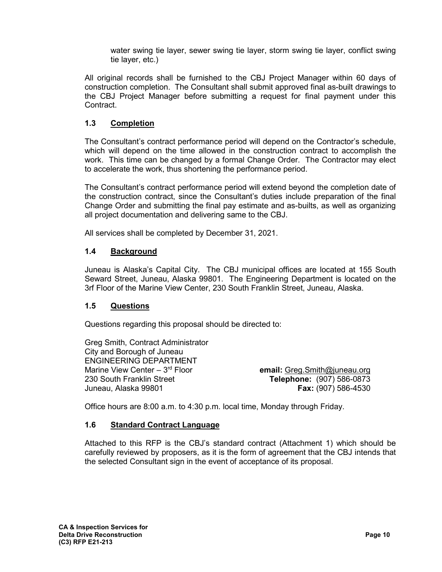water swing tie layer, sewer swing tie layer, storm swing tie layer, conflict swing tie layer, etc.)

All original records shall be furnished to the CBJ Project Manager within 60 days of construction completion. The Consultant shall submit approved final as-built drawings to the CBJ Project Manager before submitting a request for final payment under this Contract.

# **1.3 Completion**

The Consultant's contract performance period will depend on the Contractor's schedule, which will depend on the time allowed in the construction contract to accomplish the work. This time can be changed by a formal Change Order. The Contractor may elect to accelerate the work, thus shortening the performance period.

The Consultant's contract performance period will extend beyond the completion date of the construction contract, since the Consultant's duties include preparation of the final Change Order and submitting the final pay estimate and as-builts, as well as organizing all project documentation and delivering same to the CBJ.

All services shall be completed by December 31, 2021.

### **1.4 Background**

Juneau is Alaska's Capital City. The CBJ municipal offices are located at 155 South Seward Street, Juneau, Alaska 99801. The Engineering Department is located on the 3rf Floor of the Marine View Center, 230 South Franklin Street, Juneau, Alaska.

# **1.5 Questions**

Questions regarding this proposal should be directed to:

Greg Smith, Contract Administrator City and Borough of Juneau ENGINEERING DEPARTMENT<br>Marine View Center – 3<sup>rd</sup> Floor Marine View Center – 3rd Floor **email:** [Greg.Smith@juneau.org](mailto:Greg.Smith@juneau.org) Juneau, Alaska 99801 **Fax:** (907) 586-4530

230 South Franklin Street **Telephone:** (907) 586-0873

Office hours are 8:00 a.m. to 4:30 p.m. local time, Monday through Friday.

# **1.6 Standard Contract Language**

Attached to this RFP is the CBJ's standard contract (Attachment 1) which should be carefully reviewed by proposers, as it is the form of agreement that the CBJ intends that the selected Consultant sign in the event of acceptance of its proposal.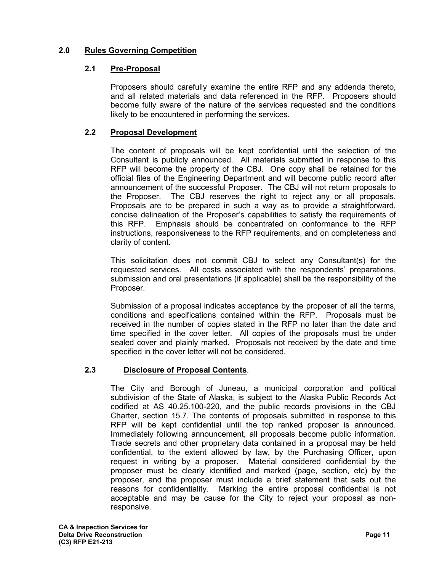# **2.0 Rules Governing Competition**

# **2.1 Pre-Proposal**

Proposers should carefully examine the entire RFP and any addenda thereto, and all related materials and data referenced in the RFP. Proposers should become fully aware of the nature of the services requested and the conditions likely to be encountered in performing the services.

# **2.2 Proposal Development**

The content of proposals will be kept confidential until the selection of the Consultant is publicly announced. All materials submitted in response to this RFP will become the property of the CBJ. One copy shall be retained for the official files of the Engineering Department and will become public record after announcement of the successful Proposer. The CBJ will not return proposals to the Proposer. The CBJ reserves the right to reject any or all proposals. Proposals are to be prepared in such a way as to provide a straightforward, concise delineation of the Proposer's capabilities to satisfy the requirements of this RFP. Emphasis should be concentrated on conformance to the RFP instructions, responsiveness to the RFP requirements, and on completeness and clarity of content.

This solicitation does not commit CBJ to select any Consultant(s) for the requested services. All costs associated with the respondents' preparations, submission and oral presentations (if applicable) shall be the responsibility of the Proposer.

Submission of a proposal indicates acceptance by the proposer of all the terms, conditions and specifications contained within the RFP. Proposals must be received in the number of copies stated in the RFP no later than the date and time specified in the cover letter. All copies of the proposals must be under sealed cover and plainly marked. Proposals not received by the date and time specified in the cover letter will not be considered.

# **2.3 Disclosure of Proposal Contents**.

The City and Borough of Juneau, a municipal corporation and political subdivision of the State of Alaska, is subject to the Alaska Public Records Act codified at AS 40.25.100-220, and the public records provisions in the CBJ Charter, section 15.7. The contents of proposals submitted in response to this RFP will be kept confidential until the top ranked proposer is announced. Immediately following announcement, all proposals become public information. Trade secrets and other proprietary data contained in a proposal may be held confidential, to the extent allowed by law, by the Purchasing Officer, upon request in writing by a proposer. Material considered confidential by the proposer must be clearly identified and marked (page, section, etc) by the proposer, and the proposer must include a brief statement that sets out the reasons for confidentiality. Marking the entire proposal confidential is not acceptable and may be cause for the City to reject your proposal as nonresponsive.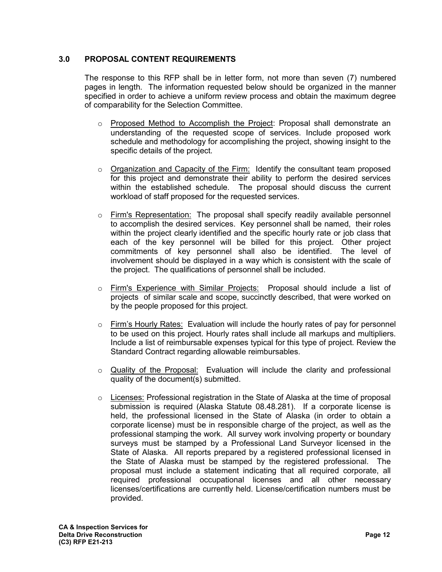# **3.0 PROPOSAL CONTENT REQUIREMENTS**

The response to this RFP shall be in letter form, not more than seven (7) numbered pages in length. The information requested below should be organized in the manner specified in order to achieve a uniform review process and obtain the maximum degree of comparability for the Selection Committee.

- $\circ$  Proposed Method to Accomplish the Project: Proposal shall demonstrate an understanding of the requested scope of services. Include proposed work schedule and methodology for accomplishing the project, showing insight to the specific details of the project.
- $\circ$  Organization and Capacity of the Firm: Identify the consultant team proposed for this project and demonstrate their ability to perform the desired services within the established schedule. The proposal should discuss the current workload of staff proposed for the requested services.
- $\circ$  Firm's Representation: The proposal shall specify readily available personnel to accomplish the desired services. Key personnel shall be named, their roles within the project clearly identified and the specific hourly rate or job class that each of the key personnel will be billed for this project. Other project commitments of key personnel shall also be identified. The level of involvement should be displayed in a way which is consistent with the scale of the project. The qualifications of personnel shall be included.
- o Firm's Experience with Similar Projects: Proposal should include a list of projects of similar scale and scope, succinctly described, that were worked on by the people proposed for this project.
- $\circ$  Firm's Hourly Rates: Evaluation will include the hourly rates of pay for personnel to be used on this project. Hourly rates shall include all markups and multipliers. Include a list of reimbursable expenses typical for this type of project. Review the Standard Contract regarding allowable reimbursables.
- $\circ$  Quality of the Proposal: Evaluation will include the clarity and professional quality of the document(s) submitted.
- $\circ$  Licenses: Professional registration in the State of Alaska at the time of proposal submission is required (Alaska Statute 08.48.281). If a corporate license is held, the professional licensed in the State of Alaska (in order to obtain a corporate license) must be in responsible charge of the project, as well as the professional stamping the work. All survey work involving property or boundary surveys must be stamped by a Professional Land Surveyor licensed in the State of Alaska. All reports prepared by a registered professional licensed in the State of Alaska must be stamped by the registered professional. The proposal must include a statement indicating that all required corporate, all required professional occupational licenses and all other necessary licenses/certifications are currently held. License/certification numbers must be provided.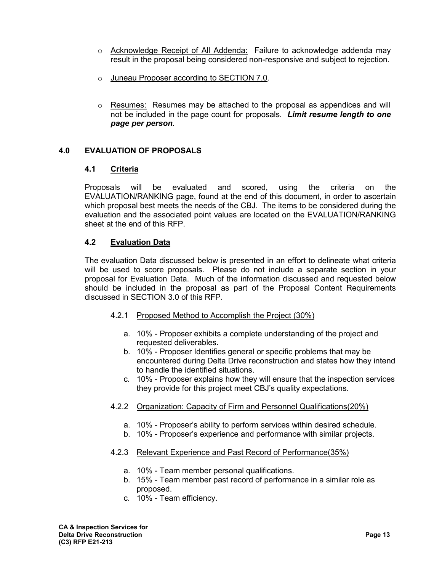- o Acknowledge Receipt of All Addenda: Failure to acknowledge addenda may result in the proposal being considered non-responsive and subject to rejection.
- o Juneau Proposer according to SECTION 7.0.
- $\circ$  Resumes: Resumes may be attached to the proposal as appendices and will not be included in the page count for proposals. *Limit resume length to one page per person.*

# **4.0 EVALUATION OF PROPOSALS**

# **4.1 Criteria**

Proposals will be evaluated and scored, using the criteria on the EVALUATION/RANKING page, found at the end of this document, in order to ascertain which proposal best meets the needs of the CBJ. The items to be considered during the evaluation and the associated point values are located on the EVALUATION/RANKING sheet at the end of this RFP.

# **4.2 Evaluation Data**

The evaluation Data discussed below is presented in an effort to delineate what criteria will be used to score proposals. Please do not include a separate section in your proposal for Evaluation Data. Much of the information discussed and requested below should be included in the proposal as part of the Proposal Content Requirements discussed in SECTION 3.0 of this RFP.

- 4.2.1 Proposed Method to Accomplish the Project (30%)
	- a. 10% Proposer exhibits a complete understanding of the project and requested deliverables.
	- b. 10% Proposer Identifies general or specific problems that may be encountered during Delta Drive reconstruction and states how they intend to handle the identified situations.
	- c. 10% Proposer explains how they will ensure that the inspection services they provide for this project meet CBJ's quality expectations.
- 4.2.2 Organization: Capacity of Firm and Personnel Qualifications(20%)
	- a. 10% Proposer's ability to perform services within desired schedule.
	- b. 10% Proposer's experience and performance with similar projects.

#### 4.2.3 Relevant Experience and Past Record of Performance(35%)

- a. 10% Team member personal qualifications.
- b. 15% Team member past record of performance in a similar role as proposed.
- c. 10% Team efficiency.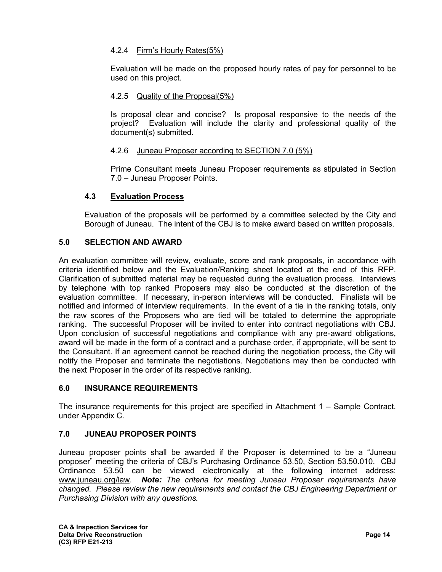# 4.2.4 Firm's Hourly Rates(5%)

Evaluation will be made on the proposed hourly rates of pay for personnel to be used on this project.

# 4.2.5 Quality of the Proposal(5%)

Is proposal clear and concise? Is proposal responsive to the needs of the project? Evaluation will include the clarity and professional quality of the document(s) submitted.

### 4.2.6 Juneau Proposer according to SECTION 7.0 (5%)

Prime Consultant meets Juneau Proposer requirements as stipulated in Section 7.0 – Juneau Proposer Points.

# **4.3 Evaluation Process**

Evaluation of the proposals will be performed by a committee selected by the City and Borough of Juneau. The intent of the CBJ is to make award based on written proposals.

# **5.0 SELECTION AND AWARD**

An evaluation committee will review, evaluate, score and rank proposals, in accordance with criteria identified below and the Evaluation/Ranking sheet located at the end of this RFP. Clarification of submitted material may be requested during the evaluation process. Interviews by telephone with top ranked Proposers may also be conducted at the discretion of the evaluation committee. If necessary, in-person interviews will be conducted. Finalists will be notified and informed of interview requirements. In the event of a tie in the ranking totals, only the raw scores of the Proposers who are tied will be totaled to determine the appropriate ranking. The successful Proposer will be invited to enter into contract negotiations with CBJ. Upon conclusion of successful negotiations and compliance with any pre-award obligations, award will be made in the form of a contract and a purchase order, if appropriate, will be sent to the Consultant. If an agreement cannot be reached during the negotiation process, the City will notify the Proposer and terminate the negotiations. Negotiations may then be conducted with the next Proposer in the order of its respective ranking.

# **6.0 INSURANCE REQUIREMENTS**

The insurance requirements for this project are specified in Attachment 1 – Sample Contract, under Appendix C.

# **7.0 JUNEAU PROPOSER POINTS**

Juneau proposer points shall be awarded if the Proposer is determined to be a "Juneau proposer" meeting the criteria of CBJ's Purchasing Ordinance 53.50, Section 53.50.010. CBJ Ordinance 53.50 can be viewed electronically at the following internet address: [www.juneau.org/law.](http://www.juneau.org/law) *Note: The criteria for meeting Juneau Proposer requirements have changed. Please review the new requirements and contact the CBJ Engineering Department or Purchasing Division with any questions.*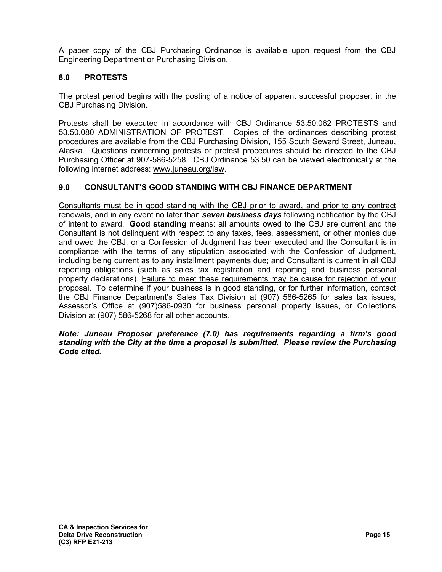A paper copy of the CBJ Purchasing Ordinance is available upon request from the CBJ Engineering Department or Purchasing Division.

# **8.0 PROTESTS**

The protest period begins with the posting of a notice of apparent successful proposer, in the CBJ Purchasing Division.

Protests shall be executed in accordance with CBJ Ordinance 53.50.062 PROTESTS and 53.50.080 ADMINISTRATION OF PROTEST. Copies of the ordinances describing protest procedures are available from the CBJ Purchasing Division, 155 South Seward Street, Juneau, Alaska. Questions concerning protests or protest procedures should be directed to the CBJ Purchasing Officer at 907-586-5258. CBJ Ordinance 53.50 can be viewed electronically at the following internet address: [www.juneau.org/law.](http://www.juneau.org/law)

# **9.0 CONSULTANT'S GOOD STANDING WITH CBJ FINANCE DEPARTMENT**

Consultants must be in good standing with the CBJ prior to award, and prior to any contract renewals, and in any event no later than *seven business days* following notification by the CBJ of intent to award. **Good standing** means: all amounts owed to the CBJ are current and the Consultant is not delinquent with respect to any taxes, fees, assessment, or other monies due and owed the CBJ, or a Confession of Judgment has been executed and the Consultant is in compliance with the terms of any stipulation associated with the Confession of Judgment, including being current as to any installment payments due; and Consultant is current in all CBJ reporting obligations (such as sales tax registration and reporting and business personal property declarations). Failure to meet these requirements may be cause for rejection of your proposal. To determine if your business is in good standing, or for further information, contact the CBJ Finance Department's Sales Tax Division at (907) 586-5265 for sales tax issues, Assessor's Office at (907)586-0930 for business personal property issues, or Collections Division at (907) 586-5268 for all other accounts.

#### *Note: Juneau Proposer preference (7.0) has requirements regarding a firm's good standing with the City at the time a proposal is submitted. Please review the Purchasing Code cited.*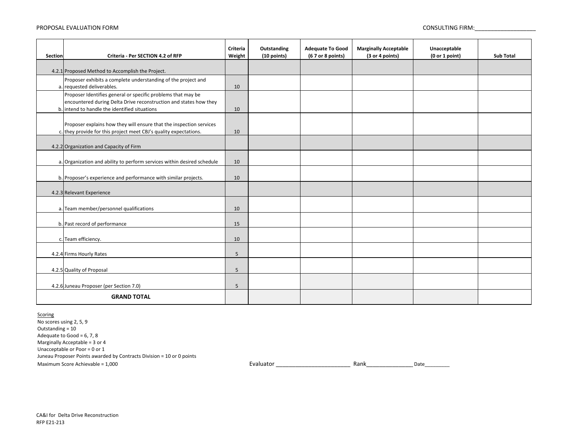#### PROPOSAL EVALUATION FORM

CONSULTING FIRM:\_\_\_\_\_\_\_\_\_\_\_\_\_\_\_\_\_\_\_

| <b>Section</b>     | Criteria - Per SECTION 4.2 of RFP                                                                                                                                                  | Criteria<br>Weight | Outstanding<br>(10 points) | <b>Adequate To Good</b><br>(6 7 or 8 points) | <b>Marginally Acceptable</b><br>(3 or 4 points) | Unacceptable<br>(0 or 1 point) | <b>Sub Total</b> |
|--------------------|------------------------------------------------------------------------------------------------------------------------------------------------------------------------------------|--------------------|----------------------------|----------------------------------------------|-------------------------------------------------|--------------------------------|------------------|
|                    | 4.2.1 Proposed Method to Accomplish the Project.                                                                                                                                   |                    |                            |                                              |                                                 |                                |                  |
|                    | Proposer exhibits a complete understanding of the project and<br>a. requested deliverables.                                                                                        | 10                 |                            |                                              |                                                 |                                |                  |
|                    | Proposer Identifies general or specific problems that may be<br>encountered during Delta Drive reconstruction and states how they<br>b. intend to handle the identified situations | 10                 |                            |                                              |                                                 |                                |                  |
|                    | Proposer explains how they will ensure that the inspection services<br>c. they provide for this project meet CBJ's quality expectations.                                           | 10                 |                            |                                              |                                                 |                                |                  |
|                    | 4.2.2 Organization and Capacity of Firm                                                                                                                                            |                    |                            |                                              |                                                 |                                |                  |
|                    | a. Organization and ability to perform services within desired schedule                                                                                                            | 10                 |                            |                                              |                                                 |                                |                  |
|                    | b. Proposer's experience and performance with similar projects.                                                                                                                    | 10                 |                            |                                              |                                                 |                                |                  |
|                    | 4.2.3 Relevant Experience                                                                                                                                                          |                    |                            |                                              |                                                 |                                |                  |
|                    | a. Team member/personnel qualifications                                                                                                                                            | 10                 |                            |                                              |                                                 |                                |                  |
|                    | b. Past record of performance                                                                                                                                                      | 15                 |                            |                                              |                                                 |                                |                  |
|                    | c. Team efficiency.                                                                                                                                                                | 10                 |                            |                                              |                                                 |                                |                  |
|                    | 4.2.4 Firms Hourly Rates                                                                                                                                                           | 5                  |                            |                                              |                                                 |                                |                  |
|                    | 4.2.5 Quality of Proposal                                                                                                                                                          | 5                  |                            |                                              |                                                 |                                |                  |
|                    | 4.2.6 Juneau Proposer (per Section 7.0)                                                                                                                                            | 5                  |                            |                                              |                                                 |                                |                  |
| <b>GRAND TOTAL</b> |                                                                                                                                                                                    |                    |                            |                                              |                                                 |                                |                  |

Scoring

No scores using 2, 5, 9 Maximum Score Achievable = 1,000 Juneau Proposer Points awarded by Contracts Division <sup>=</sup> 10 or 0 points Outstanding <sup>=</sup> 10 Adequate to Good =  $6, 7, 8$ Marginally Acceptable <sup>=</sup> 3 or 4 Unacceptable or Poor <sup>=</sup> 0 or 1

Rank Date Evaluator  $\overline{a}$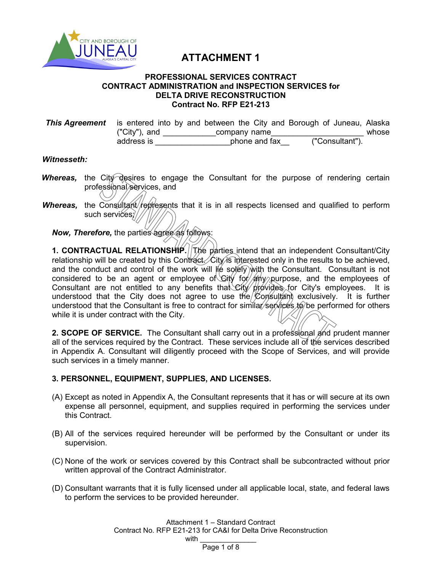

# **ATTACHMENT 1**

#### **PROFESSIONAL SERVICES CONTRACT CONTRACT ADMINISTRATION and INSPECTION SERVICES for DELTA DRIVE RECONSTRUCTION Contract No. RFP E21-213**

| <b>This Agreement</b> is entered into by and between the City and Borough of Juneau, Alaska |               |               |  |  |                 |  |       |
|---------------------------------------------------------------------------------------------|---------------|---------------|--|--|-----------------|--|-------|
|                                                                                             | ("City"), and | company name  |  |  |                 |  | whose |
|                                                                                             | address is    | phone and fax |  |  | ("Consultant"). |  |       |

#### *Witnesseth:*

- *Whereas*, the City desires to engage the Consultant for the purpose of rendering certain professional services, and
- *Whereas*, the Consultant/represents that it is in all respects licensed and qualified to perform such services;//

**Now, Therefore, the parties agree as follows:** 

**1. CONTRACTUAL RELATIONSHIP.** The parties intend that an independent Consultant/City relationship will be created by this Contract. City is interested only in the results to be achieved, and the conduct and control of the work will  $\|\phi\|$  solely with the Consultant. Consultant is not considered to be an agent or employee of Gity for  $/$  any purpose, and the employees of Consultant are not entitled to any benefits that City provides for City's employees. It is understood that the City does not agree to use the  $\&$  on sultant exclusively. It is further understood that the Consultant is free to contract for similar/services to be performed for others while it is under contract with the City.

**2. SCOPE OF SERVICE.** The Consultant shall carry out in a professional and prudent manner all of the services required by the Contract. These services include all of the services described in Appendix A. Consultant will diligently proceed with the Scope of Services, and will provide such services in a timely manner.

# **3. PERSONNEL, EQUIPMENT, SUPPLIES, AND LICENSES.**

- (A) Except as noted in Appendix A, the Consultant represents that it has or will secure at its own expense all personnel, equipment, and supplies required in performing the services under this Contract.
- (B) All of the services required hereunder will be performed by the Consultant or under its supervision.
- (C) None of the work or services covered by this Contract shall be subcontracted without prior written approval of the Contract Administrator.
- (D) Consultant warrants that it is fully licensed under all applicable local, state, and federal laws to perform the services to be provided hereunder.

Attachment 1 – Standard Contract Contract No. RFP E21-213 for CA&I for Delta Drive Reconstruction with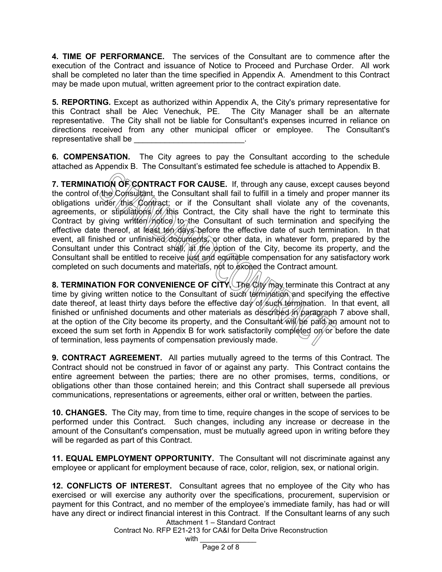**4. TIME OF PERFORMANCE.** The services of the Consultant are to commence after the execution of the Contract and issuance of Notice to Proceed and Purchase Order. All work shall be completed no later than the time specified in Appendix A. Amendment to this Contract may be made upon mutual, written agreement prior to the contract expiration date.

**5. REPORTING.** Except as authorized within Appendix A, the City's primary representative for this Contract shall be Alec Venechuk, PE. The City Manager shall be an alternate representative. The City shall not be liable for Consultant's expenses incurred in reliance on directions received from any other municipal officer or employee. The Consultant's representative shall be

**6. COMPENSATION.** The City agrees to pay the Consultant according to the schedule attached as Appendix B. The Consultant's estimated fee schedule is attached to Appendix B.

**7. TERMINATION OF CONTRACT FOR CAUSE.** If, through any cause, except causes beyond the control of the Consultant, the Consultant shall fail to fulfill in a timely and proper manner its obligations under this Contract; or if the Consultant shall violate any of the covenants, agreements, or stipulations of this Contract, the City shall have the right to terminate this Contract by giving written  $m$  to the Consultant of such termination and specifying the effective date thereof, at least ten days before the effective date of such termination. In that event, all finished or unfinished documents, or other data, in whatever form, prepared by the Consultant under this Contract shall,  $\frac{1}{2}$  the  $\frac{1}{2}$  option of the City, become its property, and the Consultant shall be entitled to receive just and equitable compensation for any satisfactory work completed on such documents and materials, not to exceed the Contract amount.

**8. TERMINATION FOR CONVENIENCE OF CITY.** The City may terminate this Contract at any time by giving written notice to the Consultant of such termination and specifying the effective date thereof, at least thirty days before the effective day of such termination. In that event, all finished or unfinished documents and other materials as described in paragraph 7 above shall, at the option of the City become its property, and the Consultant  $\hat{w}$   $\hat{w}$   $\hat{p}$   $\hat{p}$  an amount not to exceed the sum set forth in Appendix B for work satisfactorily completed on or before the date of termination, less payments of compensation previously made.

**9. CONTRACT AGREEMENT.** All parties mutually agreed to the terms of this Contract. The Contract should not be construed in favor of or against any party. This Contract contains the entire agreement between the parties; there are no other promises, terms, conditions, or obligations other than those contained herein; and this Contract shall supersede all previous communications, representations or agreements, either oral or written, between the parties.

**10. CHANGES.** The City may, from time to time, require changes in the scope of services to be performed under this Contract. Such changes, including any increase or decrease in the amount of the Consultant's compensation, must be mutually agreed upon in writing before they will be regarded as part of this Contract.

**11. EQUAL EMPLOYMENT OPPORTUNITY.** The Consultant will not discriminate against any employee or applicant for employment because of race, color, religion, sex, or national origin.

Attachment 1 – Standard Contract **12. CONFLICTS OF INTEREST.** Consultant agrees that no employee of the City who has exercised or will exercise any authority over the specifications, procurement, supervision or payment for this Contract, and no member of the employee's immediate family, has had or will have any direct or indirect financial interest in this Contract. If the Consultant learns of any such

Contract No. RFP E21-213 for CA&I for Delta Drive Reconstruction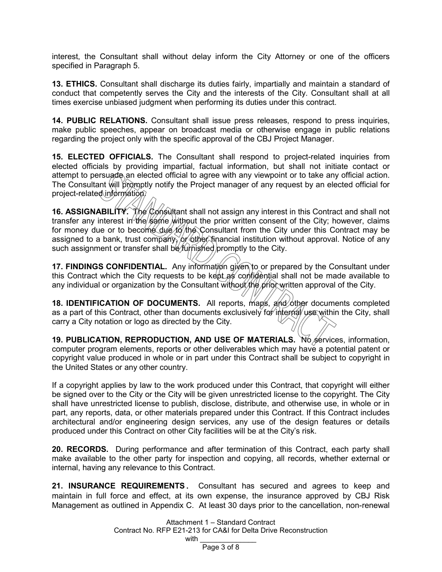interest, the Consultant shall without delay inform the City Attorney or one of the officers specified in Paragraph 5.

**13. ETHICS.** Consultant shall discharge its duties fairly, impartially and maintain a standard of conduct that competently serves the City and the interests of the City. Consultant shall at all times exercise unbiased judgment when performing its duties under this contract.

**14. PUBLIC RELATIONS.** Consultant shall issue press releases, respond to press inquiries, make public speeches, appear on broadcast media or otherwise engage in public relations regarding the project only with the specific approval of the CBJ Project Manager.

**15. ELECTED OFFICIALS.** The Consultant shall respond to project-related inquiries from elected officials by providing impartial, factual information, but shall not initiate contact or attempt to persuade an elected official to agree with any viewpoint or to take any official action. The Consultant will promptly notify the Project manager of any request by an elected official for project-related information.

**16. ASSIGNABILITY.** The Consultant shall not assign any interest in this Contract and shall not transfer any interest in the same without the prior written consent of the City; however, claims for money due or to become due to the Consultant from the City under this Contract may be assigned to a bank, trust company, or other financial institution without approval. Notice of any such assignment or transfer shall be *furnished* promptly to the City.

**17. FINDINGS CONFIDENTIAL.** Any information given to or prepared by the Consultant under this Contract which the City requests to be kept as confidential shall not be made available to any individual or organization by the Consultant without the prior written approval of the City.

**18. IDENTIFICATION OF DOCUMENTS.** All reports, maps, and other documents completed as a part of this Contract, other than documents exclusively for internal use within the City, shall carry a City notation or logo as directed by the City.

**19. PUBLICATION, REPRODUCTION, AND USE OF MATERIALS.** No services, information, computer program elements, reports or other deliverables which may have a potential patent or copyright value produced in whole or in part under this Contract shall be subject to copyright in the United States or any other country.

If a copyright applies by law to the work produced under this Contract, that copyright will either be signed over to the City or the City will be given unrestricted license to the copyright. The City shall have unrestricted license to publish, disclose, distribute, and otherwise use, in whole or in part, any reports, data, or other materials prepared under this Contract. If this Contract includes architectural and/or engineering design services, any use of the design features or details produced under this Contract on other City facilities will be at the City's risk.

**20. RECORDS.** During performance and after termination of this Contract, each party shall make available to the other party for inspection and copying, all records, whether external or internal, having any relevance to this Contract.

**21. INSURANCE REQUIREMENTS.** Consultant has secured and agrees to keep and maintain in full force and effect, at its own expense, the insurance approved by CBJ Risk Management as outlined in Appendix C. At least 30 days prior to the cancellation, non-renewal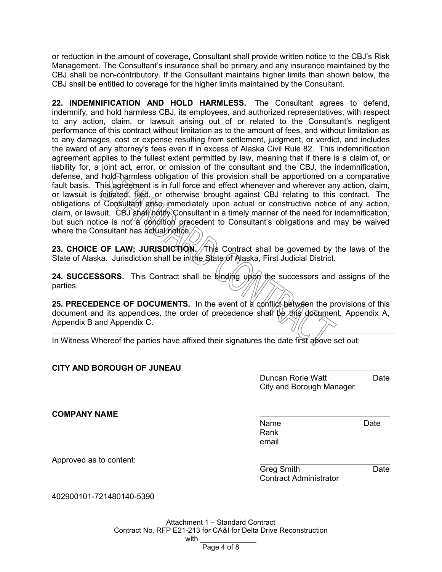or reduction in the amount of coverage, Consultant shall provide written notice to the CBJ's Risk Management. The Consultant's insurance shall be primary and any insurance maintained by the CBJ shall be non-contributory. If the Consultant maintains higher limits than shown below, the CBJ shall be entitled to coverage for the higher limits maintained by the Consultant.

**22. INDEMNIFICATION AND HOLD HARMLESS.** The Consultant agrees to defend, indemnify, and hold harmless CBJ, its employees, and authorized representatives, with respect to any action, claim, or lawsuit arising out of or related to the Consultant's negligent performance of this contract without limitation as to the amount of fees, and without limitation as to any damages, cost or expense resulting from settlement, judgment, or verdict, and includes the award of any attorney's fees even if in excess of Alaska Civil Rule 82. This indemnification agreement applies to the fullest extent permitted by law, meaning that if there is a claim of, or liability for, a joint act, error, or omission of the consultant and the CBJ, the indemnification, defense, and hold harmless obligation of this provision shall be apportioned on a comparative fault basis. This agreement is in full force and effect whenever and wherever any action, claim, or lawsuit is  $\oint$ nitiated, filed, or otherwise brought against CBJ relating to this contract. The obligations of Consultant arise immediately upon actual or constructive notice of any action, claim, or lawsuit. CBJ shall notify Consultant in a timely manner of the need for indemnification, but such notice is not a condition precedent to Consultant's obligations and may be waived where the Consultant has actual notice.

**23. CHOICE OF LAW; JURISDICTION. This Contract shall be governed by the laws of the** State of Alaska. Jurisdiction shall be in the State of Alaska, First Judicial District.

**24. SUCCESSORS.** This Contract shall be binding upon the successors and assigns of the parties.

**25. PRECEDENCE OF DOCUMENTS.** In the event of a conflict between the provisions of this document and its appendices, the order of precedence shall be this document, Appendix A, Appendix B and Appendix C.

In Witness Whereof the parties have affixed their signatures the date first above set out:

# **CITY AND BOROUGH OF JUNEAU**

Duncan Rorie Watt **Date** City and Borough Manager

**COMPANY NAME**

Name Date Rank email

Approved as to content:

Greg Smith **Date** Contract Administrator

402900101-721480140-5390

Attachment 1 – Standard Contract Contract No. RFP E21-213 for CA&I for Delta Drive Reconstruction with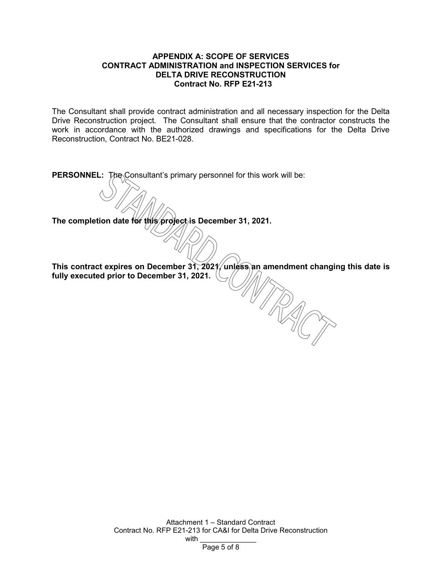### **APPENDIX A: SCOPE OF SERVICES CONTRACT ADMINISTRATION and INSPECTION SERVICES for DELTA DRIVE RECONSTRUCTION Contract No. RFP E21-213**

The Consultant shall provide contract administration and all necessary inspection for the Delta Drive Reconstruction project. The Consultant shall ensure that the contractor constructs the work in accordance with the authorized drawings and specifications for the Delta Drive Reconstruction, Contract No. BE21-028.

**PERSONNEL:** The Consultant's primary personnel for this work will be:

The completion date for this project is December 31, 2021.

**This contract expires on December 31, 2021, unless an amendment changing this date is fully executed prior to December 31, 2021.**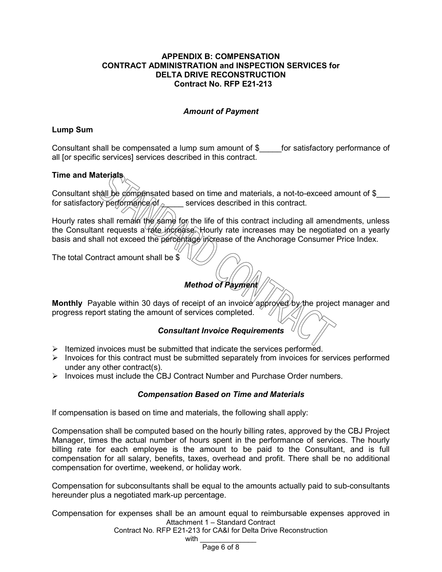### **APPENDIX B: COMPENSATION CONTRACT ADMINISTRATION and INSPECTION SERVICES for DELTA DRIVE RECONSTRUCTION Contract No. RFP E21-213**

# *Amount of Payment*

# **Lump Sum**

Consultant shall be compensated a lump sum amount of \$ for satisfactory performance of all [or specific services] services described in this contract.

# **Time and Materials**

Consultant shall be componsated based on time and materials, a not-to-exceed amount of \$ for satisfactory performance of  $\sim$  services described in this contract.

Hourly rates shall remain the same for the life of this contract including all amendments, unless the Consultant requests a rate increase. Hourly rate increases may be negotiated on a yearly basis and shall not exceed the percentage increase of the Anchorage Consumer Price Index.

The total Contract amount shall be \$

# *Method of Payment*

**Monthly** Payable within 30 days of receipt of an invoice approved by the project manager and progress report stating the amount of services completed.

# *Consultant Invoice Requirements*

- $\triangleright$  Itemized invoices must be submitted that indicate the services performed.
- $\triangleright$  Invoices for this contract must be submitted separately from invoices for services performed under any other contract(s).
- $\triangleright$  Invoices must include the CBJ Contract Number and Purchase Order numbers.

# *Compensation Based on Time and Materials*

If compensation is based on time and materials, the following shall apply:

Compensation shall be computed based on the hourly billing rates, approved by the CBJ Project Manager, times the actual number of hours spent in the performance of services. The hourly billing rate for each employee is the amount to be paid to the Consultant, and is full compensation for all salary, benefits, taxes, overhead and profit. There shall be no additional compensation for overtime, weekend, or holiday work.

Compensation for subconsultants shall be equal to the amounts actually paid to sub-consultants hereunder plus a negotiated mark-up percentage.

Attachment 1 – Standard Contract Compensation for expenses shall be an amount equal to reimbursable expenses approved in

Contract No. RFP E21-213 for CA&I for Delta Drive Reconstruction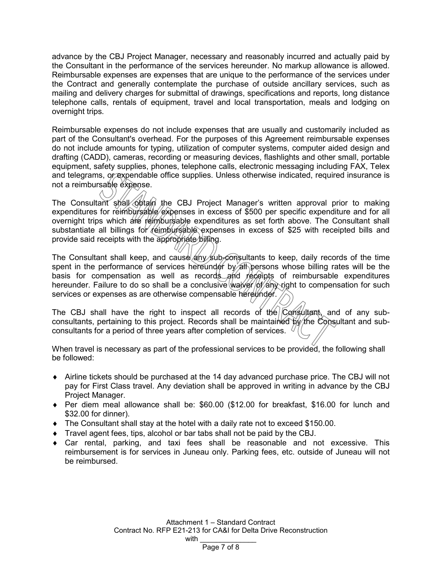advance by the CBJ Project Manager, necessary and reasonably incurred and actually paid by the Consultant in the performance of the services hereunder. No markup allowance is allowed. Reimbursable expenses are expenses that are unique to the performance of the services under the Contract and generally contemplate the purchase of outside ancillary services, such as mailing and delivery charges for submittal of drawings, specifications and reports, long distance telephone calls, rentals of equipment, travel and local transportation, meals and lodging on overnight trips.

Reimbursable expenses do not include expenses that are usually and customarily included as part of the Consultant's overhead. For the purposes of this Agreement reimbursable expenses do not include amounts for typing, utilization of computer systems, computer aided design and drafting (CADD), cameras, recording or measuring devices, flashlights and other small, portable equipment, safety supplies, phones, telephone calls, electronic messaging including FAX, Telex and telegrams, or expendable office supplies. Unless otherwise indicated, required insurance is not a reimbursable expense.

The Consultant shall obtain the CBJ Project Manager's written approval prior to making expenditures for reimbursable expenses in excess of \$500 per specific expenditure and for all overnight trips which are reimbursable expenditures as set forth above. The Consultant shall substantiate all billings for reimbursable expenses in excess of \$25 with receipted bills and provide said receipts with the appropriate billing.

The Consultant shall keep, and cause  $\frac{1}{4}$  why sub-consultants to keep, daily records of the time spent in the performance of services hereunder by all persons whose billing rates will be the basis for compensation as well as records and receipts of reimbursable expenditures hereunder. Failure to do so shall be a conclusive waiver  $\phi$  /  $\phi$  /  $\phi$  /  $\phi$  /  $\phi$  /  $\phi$  /  $\phi$  /  $\phi$  /  $\phi$  /  $\phi$  /  $\phi$  /  $\phi$  /  $\phi$  /  $\phi$  /  $\phi$  /  $\phi$  /  $\phi$  /  $\phi$  /  $\phi$  /  $\phi$  /  $\phi$  /  $\phi$  /  $\phi$  /  $\phi$ services or expenses as are otherwise compensable hereunder.

The CBJ shall have the right to inspect all records of the  $\overline{C}$  consultant, and of any subconsultants, pertaining to this project. Records shall be maintained by the Consultant and subconsultants for a period of three years after completion of services.  $\langle$ 

When travel is necessary as part of the professional services to be provided, the following shall be followed:

- ♦ Airline tickets should be purchased at the 14 day advanced purchase price. The CBJ will not pay for First Class travel. Any deviation shall be approved in writing in advance by the CBJ Project Manager.
- ♦ Per diem meal allowance shall be: \$60.00 (\$12.00 for breakfast, \$16.00 for lunch and \$32.00 for dinner).
- $\blacklozenge$  The Consultant shall stay at the hotel with a daily rate not to exceed \$150.00.
- ♦ Travel agent fees, tips, alcohol or bar tabs shall not be paid by the CBJ.
- $\bullet$  Car rental, parking, and taxi fees shall be reasonable and not excessive. This reimbursement is for services in Juneau only. Parking fees, etc. outside of Juneau will not be reimbursed.